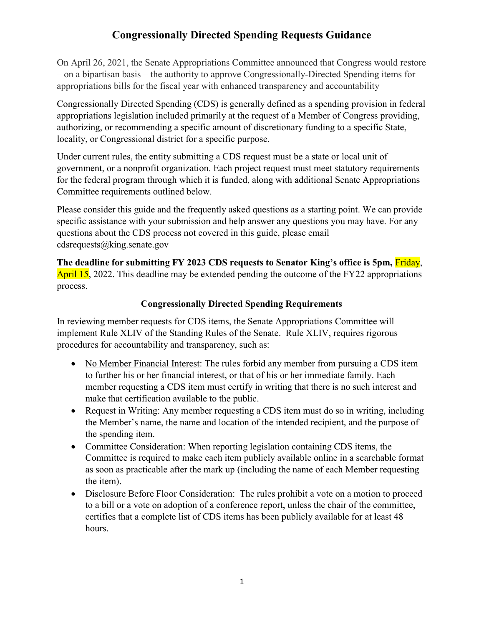On April 26, 2021, the Senate Appropriations Committee announced that Congress would restore – on a bipartisan basis – the authority to approve Congressionally-Directed Spending items for appropriations bills for the fiscal year with enhanced transparency and accountability

Congressionally Directed Spending (CDS) is generally defined as a spending provision in federal appropriations legislation included primarily at the request of a Member of Congress providing, authorizing, or recommending a specific amount of discretionary funding to a specific State, locality, or Congressional district for a specific purpose.

Under current rules, the entity submitting a CDS request must be a state or local unit of government, or a nonprofit organization. Each project request must meet statutory requirements for the federal program through which it is funded, along with additional Senate Appropriations Committee requirements outlined below.

Please consider this guide and the frequently asked questions as a starting point. We can provide specific assistance with your submission and help answer any questions you may have. For any questions about the CDS process not covered in this guide, please email cdsrequests@king.senate.gov

The deadline for submitting FY 2023 CDS requests to Senator King's office is 5pm, Friday, April 15, 2022. This deadline may be extended pending the outcome of the FY22 appropriations process.

## Congressionally Directed Spending Requirements

In reviewing member requests for CDS items, the Senate Appropriations Committee will implement Rule XLIV of the Standing Rules of the Senate. Rule XLIV, requires rigorous procedures for accountability and transparency, such as:

- No Member Financial Interest: The rules forbid any member from pursuing a CDS item to further his or her financial interest, or that of his or her immediate family. Each member requesting a CDS item must certify in writing that there is no such interest and make that certification available to the public.
- Request in Writing: Any member requesting a CDS item must do so in writing, including the Member's name, the name and location of the intended recipient, and the purpose of the spending item.
- Committee Consideration: When reporting legislation containing CDS items, the Committee is required to make each item publicly available online in a searchable format as soon as practicable after the mark up (including the name of each Member requesting the item).
- Disclosure Before Floor Consideration: The rules prohibit a vote on a motion to proceed to a bill or a vote on adoption of a conference report, unless the chair of the committee, certifies that a complete list of CDS items has been publicly available for at least 48 hours.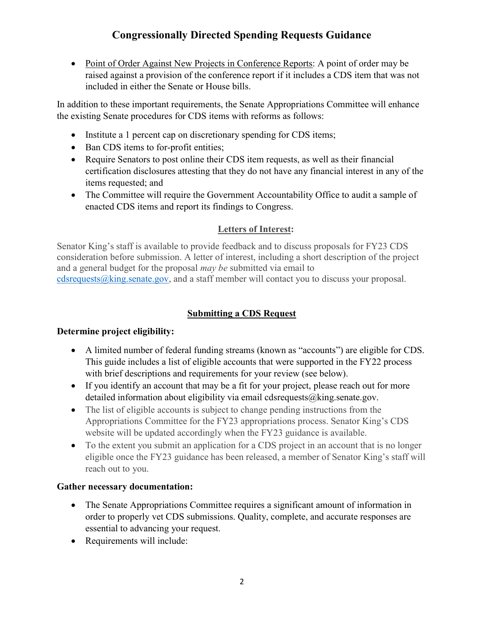Point of Order Against New Projects in Conference Reports: A point of order may be raised against a provision of the conference report if it includes a CDS item that was not included in either the Senate or House bills.

In addition to these important requirements, the Senate Appropriations Committee will enhance the existing Senate procedures for CDS items with reforms as follows:

- Institute a 1 percent cap on discretionary spending for CDS items;
- Ban CDS items to for-profit entities;
- Require Senators to post online their CDS item requests, as well as their financial certification disclosures attesting that they do not have any financial interest in any of the items requested; and
- The Committee will require the Government Accountability Office to audit a sample of enacted CDS items and report its findings to Congress.

### Letters of Interest:

Senator King's staff is available to provide feedback and to discuss proposals for FY23 CDS consideration before submission. A letter of interest, including a short description of the project and a general budget for the proposal may be submitted via email to cdsrequests@king.senate.gov, and a staff member will contact you to discuss your proposal.

## Submitting a CDS Request

#### Determine project eligibility:

- A limited number of federal funding streams (known as "accounts") are eligible for CDS. This guide includes a list of eligible accounts that were supported in the FY22 process with brief descriptions and requirements for your review (see below).
- If you identify an account that may be a fit for your project, please reach out for more detailed information about eligibility via email cdsrequests@king.senate.gov.
- The list of eligible accounts is subject to change pending instructions from the Appropriations Committee for the FY23 appropriations process. Senator King's CDS website will be updated accordingly when the FY23 guidance is available.
- To the extent you submit an application for a CDS project in an account that is no longer eligible once the FY23 guidance has been released, a member of Senator King's staff will reach out to you.

#### Gather necessary documentation:

- The Senate Appropriations Committee requires a significant amount of information in order to properly vet CDS submissions. Quality, complete, and accurate responses are essential to advancing your request.
- Requirements will include: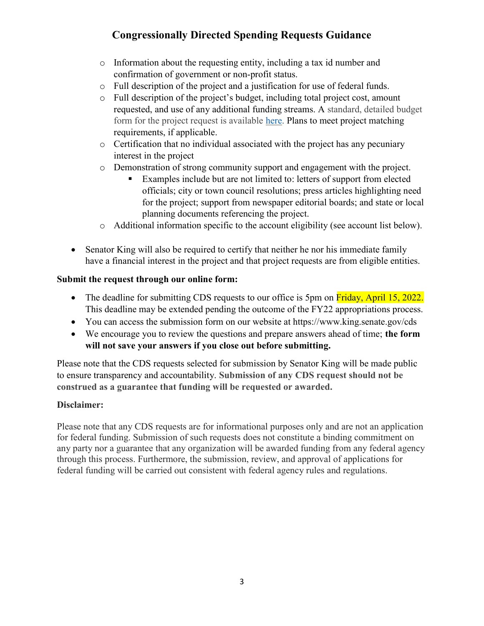- o Information about the requesting entity, including a tax id number and confirmation of government or non-profit status.
- o Full description of the project and a justification for use of federal funds.
- o Full description of the project's budget, including total project cost, amount requested, and use of any additional funding streams. A standard, detailed budget form for the project request is available here. Plans to meet project matching requirements, if applicable.
- o Certification that no individual associated with the project has any pecuniary interest in the project
- o Demonstration of strong community support and engagement with the project.
	- Examples include but are not limited to: letters of support from elected officials; city or town council resolutions; press articles highlighting need for the project; support from newspaper editorial boards; and state or local planning documents referencing the project.
- o Additional information specific to the account eligibility (see account list below).
- Senator King will also be required to certify that neither he nor his immediate family have a financial interest in the project and that project requests are from eligible entities.

## Submit the request through our online form:

- The deadline for submitting CDS requests to our office is 5pm on Friday, April 15, 2022. This deadline may be extended pending the outcome of the FY22 appropriations process.
- You can access the submission form on our website at https://www.king.senate.gov/cds
- We encourage you to review the questions and prepare answers ahead of time; the form will not save your answers if you close out before submitting.

Please note that the CDS requests selected for submission by Senator King will be made public to ensure transparency and accountability. Submission of any CDS request should not be construed as a guarantee that funding will be requested or awarded.

## Disclaimer:

Please note that any CDS requests are for informational purposes only and are not an application for federal funding. Submission of such requests does not constitute a binding commitment on any party nor a guarantee that any organization will be awarded funding from any federal agency through this process. Furthermore, the submission, review, and approval of applications for federal funding will be carried out consistent with federal agency rules and regulations.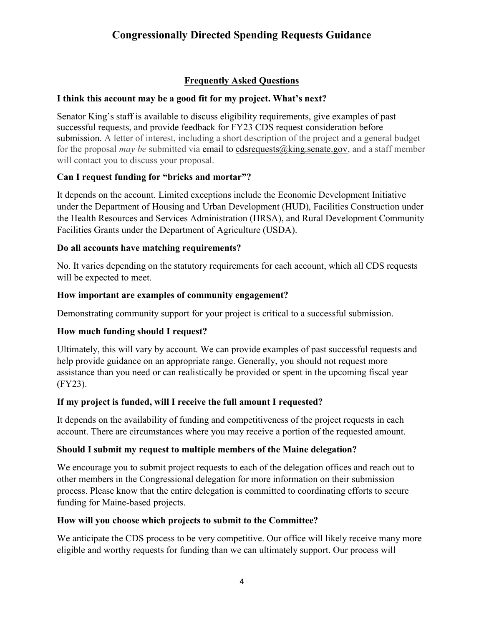## Frequently Asked Questions

#### I think this account may be a good fit for my project. What's next?

Senator King's staff is available to discuss eligibility requirements, give examples of past successful requests, and provide feedback for FY23 CDS request consideration before submission. A letter of interest, including a short description of the project and a general budget for the proposal *may be* submitted via email to cdsrequests  $\omega$ king.senate.gov, and a staff member will contact you to discuss your proposal.

### Can I request funding for "bricks and mortar"?

It depends on the account. Limited exceptions include the Economic Development Initiative under the Department of Housing and Urban Development (HUD), Facilities Construction under the Health Resources and Services Administration (HRSA), and Rural Development Community Facilities Grants under the Department of Agriculture (USDA).

### Do all accounts have matching requirements?

No. It varies depending on the statutory requirements for each account, which all CDS requests will be expected to meet.

### How important are examples of community engagement?

Demonstrating community support for your project is critical to a successful submission.

## How much funding should I request?

Ultimately, this will vary by account. We can provide examples of past successful requests and help provide guidance on an appropriate range. Generally, you should not request more assistance than you need or can realistically be provided or spent in the upcoming fiscal year (FY23).

#### If my project is funded, will I receive the full amount I requested?

It depends on the availability of funding and competitiveness of the project requests in each account. There are circumstances where you may receive a portion of the requested amount.

## Should I submit my request to multiple members of the Maine delegation?

We encourage you to submit project requests to each of the delegation offices and reach out to other members in the Congressional delegation for more information on their submission process. Please know that the entire delegation is committed to coordinating efforts to secure funding for Maine-based projects.

#### How will you choose which projects to submit to the Committee?

We anticipate the CDS process to be very competitive. Our office will likely receive many more eligible and worthy requests for funding than we can ultimately support. Our process will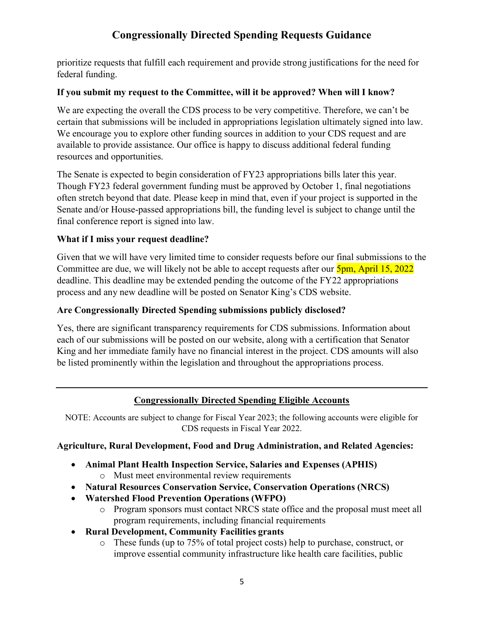prioritize requests that fulfill each requirement and provide strong justifications for the need for federal funding.

### If you submit my request to the Committee, will it be approved? When will I know?

We are expecting the overall the CDS process to be very competitive. Therefore, we can't be certain that submissions will be included in appropriations legislation ultimately signed into law. We encourage you to explore other funding sources in addition to your CDS request and are available to provide assistance. Our office is happy to discuss additional federal funding resources and opportunities.

The Senate is expected to begin consideration of FY23 appropriations bills later this year. Though FY23 federal government funding must be approved by October 1, final negotiations often stretch beyond that date. Please keep in mind that, even if your project is supported in the Senate and/or House-passed appropriations bill, the funding level is subject to change until the final conference report is signed into law.

### What if I miss your request deadline?

Given that we will have very limited time to consider requests before our final submissions to the Committee are due, we will likely not be able to accept requests after our  $5pm$ , April 15, 2022 deadline. This deadline may be extended pending the outcome of the FY22 appropriations process and any new deadline will be posted on Senator King's CDS website.

#### Are Congressionally Directed Spending submissions publicly disclosed?

Yes, there are significant transparency requirements for CDS submissions. Information about each of our submissions will be posted on our website, along with a certification that Senator King and her immediate family have no financial interest in the project. CDS amounts will also be listed prominently within the legislation and throughout the appropriations process.

## Congressionally Directed Spending Eligible Accounts

NOTE: Accounts are subject to change for Fiscal Year 2023; the following accounts were eligible for CDS requests in Fiscal Year 2022.

#### Agriculture, Rural Development, Food and Drug Administration, and Related Agencies:

- Animal Plant Health Inspection Service, Salaries and Expenses (APHIS)
	- o Must meet environmental review requirements
- Natural Resources Conservation Service, Conservation Operations (NRCS)
- Watershed Flood Prevention Operations (WFPO)
	- o Program sponsors must contact NRCS state office and the proposal must meet all program requirements, including financial requirements
- Rural Development, Community Facilities grants
	- o These funds (up to 75% of total project costs) help to purchase, construct, or improve essential community infrastructure like health care facilities, public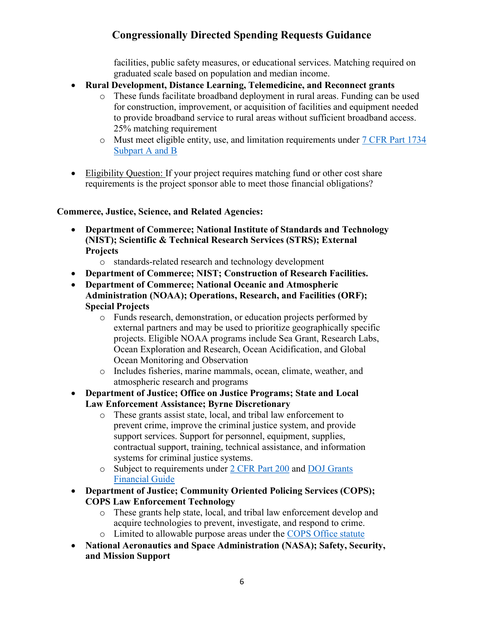facilities, public safety measures, or educational services. Matching required on graduated scale based on population and median income.

- Rural Development, Distance Learning, Telemedicine, and Reconnect grants
	- o These funds facilitate broadband deployment in rural areas. Funding can be used for construction, improvement, or acquisition of facilities and equipment needed to provide broadband service to rural areas without sufficient broadband access. 25% matching requirement
	- o Must meet eligible entity, use, and limitation requirements under 7 CFR Part 1734 Subpart A and B
- Eligibility Question: If your project requires matching fund or other cost share requirements is the project sponsor able to meet those financial obligations?

### Commerce, Justice, Science, and Related Agencies:

- Department of Commerce; National Institute of Standards and Technology (NIST); Scientific & Technical Research Services (STRS); External Projects
	- o standards-related research and technology development
- Department of Commerce; NIST; Construction of Research Facilities.
- Department of Commerce; National Oceanic and Atmospheric Administration (NOAA); Operations, Research, and Facilities (ORF); Special Projects
	- o Funds research, demonstration, or education projects performed by external partners and may be used to prioritize geographically specific projects. Eligible NOAA programs include Sea Grant, Research Labs, Ocean Exploration and Research, Ocean Acidification, and Global Ocean Monitoring and Observation
	- o Includes fisheries, marine mammals, ocean, climate, weather, and atmospheric research and programs
- Department of Justice; Office on Justice Programs; State and Local Law Enforcement Assistance; Byrne Discretionary
	- o These grants assist state, local, and tribal law enforcement to prevent crime, improve the criminal justice system, and provide support services. Support for personnel, equipment, supplies, contractual support, training, technical assistance, and information systems for criminal justice systems.
	- o Subject to requirements under 2 CFR Part 200 and DOJ Grants Financial Guide
- Department of Justice; Community Oriented Policing Services (COPS); COPS Law Enforcement Technology
	- o These grants help state, local, and tribal law enforcement develop and acquire technologies to prevent, investigate, and respond to crime. o Limited to allowable purpose areas under the COPS Office statute
- National Aeronautics and Space Administration (NASA); Safety, Security,
	- and Mission Support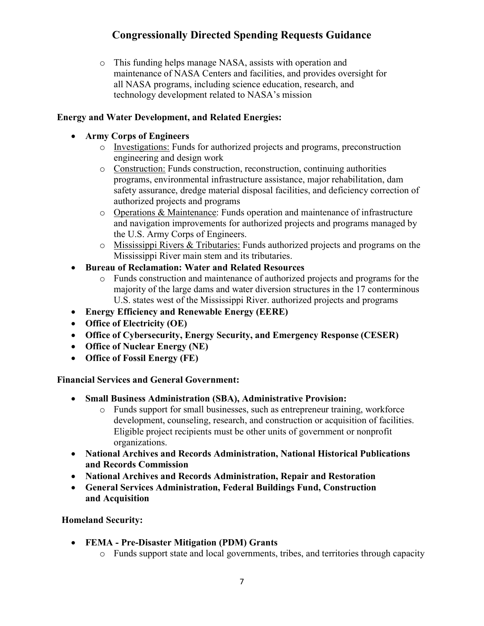o This funding helps manage NASA, assists with operation and maintenance of NASA Centers and facilities, and provides oversight for all NASA programs, including science education, research, and technology development related to NASA's mission

## Energy and Water Development, and Related Energies:

### Army Corps of Engineers

- o Investigations: Funds for authorized projects and programs, preconstruction engineering and design work
- o Construction: Funds construction, reconstruction, continuing authorities programs, environmental infrastructure assistance, major rehabilitation, dam safety assurance, dredge material disposal facilities, and deficiency correction of authorized projects and programs
- o Operations & Maintenance: Funds operation and maintenance of infrastructure and navigation improvements for authorized projects and programs managed by the U.S. Army Corps of Engineers.
- o Mississippi Rivers & Tributaries: Funds authorized projects and programs on the Mississippi River main stem and its tributaries.
- Bureau of Reclamation: Water and Related Resources
	- o Funds construction and maintenance of authorized projects and programs for the majority of the large dams and water diversion structures in the 17 conterminous U.S. states west of the Mississippi River. authorized projects and programs
- Energy Efficiency and Renewable Energy (EERE)
- Office of Electricity (OE)
- Office of Cybersecurity, Energy Security, and Emergency Response (CESER)
- Office of Nuclear Energy (NE)
- Office of Fossil Energy (FE)

#### Financial Services and General Government:

- Small Business Administration (SBA), Administrative Provision:
	- o Funds support for small businesses, such as entrepreneur training, workforce development, counseling, research, and construction or acquisition of facilities. Eligible project recipients must be other units of government or nonprofit organizations.
- National Archives and Records Administration, National Historical Publications and Records Commission
- National Archives and Records Administration, Repair and Restoration
- General Services Administration, Federal Buildings Fund, Construction and Acquisition

Homeland Security:

- FEMA Pre-Disaster Mitigation (PDM) Grants
	- o Funds support state and local governments, tribes, and territories through capacity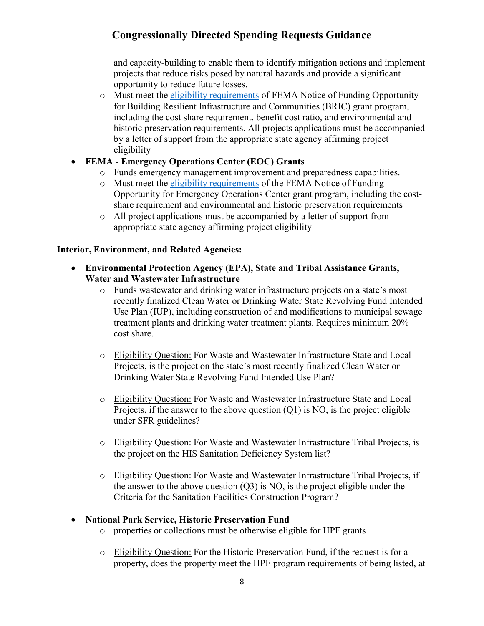and capacity-building to enable them to identify mitigation actions and implement projects that reduce risks posed by natural hazards and provide a significant opportunity to reduce future losses.

o Must meet the eligibility requirements of FEMA Notice of Funding Opportunity for Building Resilient Infrastructure and Communities (BRIC) grant program, including the cost share requirement, benefit cost ratio, and environmental and historic preservation requirements. All projects applications must be accompanied by a letter of support from the appropriate state agency affirming project eligibility

## FEMA - Emergency Operations Center (EOC) Grants

- o Funds emergency management improvement and preparedness capabilities.
- o Must meet the eligibility requirements of the FEMA Notice of Funding Opportunity for Emergency Operations Center grant program, including the costshare requirement and environmental and historic preservation requirements
- o All project applications must be accompanied by a letter of support from appropriate state agency affirming project eligibility

## Interior, Environment, and Related Agencies:

- Environmental Protection Agency (EPA), State and Tribal Assistance Grants, Water and Wastewater Infrastructure
	- o Funds wastewater and drinking water infrastructure projects on a state's most recently finalized Clean Water or Drinking Water State Revolving Fund Intended Use Plan (IUP), including construction of and modifications to municipal sewage treatment plants and drinking water treatment plants. Requires minimum 20% cost share.
	- o Eligibility Question: For Waste and Wastewater Infrastructure State and Local Projects, is the project on the state's most recently finalized Clean Water or Drinking Water State Revolving Fund Intended Use Plan?
	- o Eligibility Question: For Waste and Wastewater Infrastructure State and Local Projects, if the answer to the above question  $(Q1)$  is NO, is the project eligible under SFR guidelines?
	- o Eligibility Question: For Waste and Wastewater Infrastructure Tribal Projects, is the project on the HIS Sanitation Deficiency System list?
	- o Eligibility Question: For Waste and Wastewater Infrastructure Tribal Projects, if the answer to the above question  $(Q3)$  is NO, is the project eligible under the Criteria for the Sanitation Facilities Construction Program?

## National Park Service, Historic Preservation Fund

- o properties or collections must be otherwise eligible for HPF grants
- o Eligibility Question: For the Historic Preservation Fund, if the request is for a property, does the property meet the HPF program requirements of being listed, at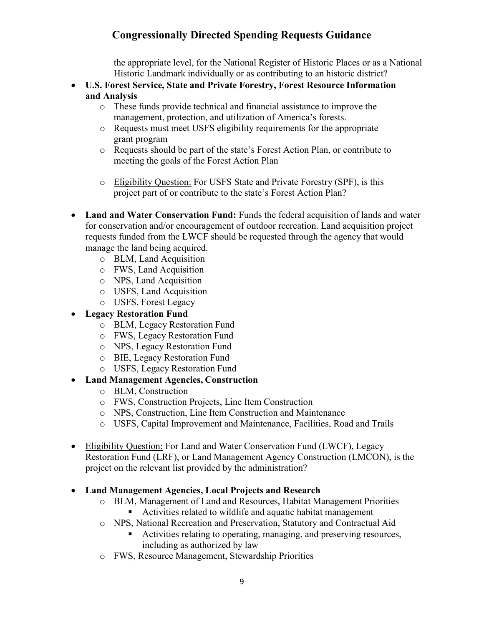the appropriate level, for the National Register of Historic Places or as a National Historic Landmark individually or as contributing to an historic district?

- U.S. Forest Service, State and Private Forestry, Forest Resource Information and Analysis
	- o These funds provide technical and financial assistance to improve the management, protection, and utilization of America's forests.
	- o Requests must meet USFS eligibility requirements for the appropriate grant program
	- o Requests should be part of the state's Forest Action Plan, or contribute to meeting the goals of the Forest Action Plan
	- o Eligibility Question: For USFS State and Private Forestry (SPF), is this project part of or contribute to the state's Forest Action Plan?
- Land and Water Conservation Fund: Funds the federal acquisition of lands and water for conservation and/or encouragement of outdoor recreation. Land acquisition project requests funded from the LWCF should be requested through the agency that would manage the land being acquired.
	- o BLM, Land Acquisition
	- o FWS, Land Acquisition
	- o NPS, Land Acquisition
	- o USFS, Land Acquisition
	- o USFS, Forest Legacy
- Legacy Restoration Fund
	- o BLM, Legacy Restoration Fund
	- o FWS, Legacy Restoration Fund
	- o NPS, Legacy Restoration Fund
	- o BIE, Legacy Restoration Fund
	- o USFS, Legacy Restoration Fund

## Land Management Agencies, Construction

- o BLM, Construction
- o FWS, Construction Projects, Line Item Construction
- o NPS, Construction, Line Item Construction and Maintenance
- o USFS, Capital Improvement and Maintenance, Facilities, Road and Trails
- Eligibility Question: For Land and Water Conservation Fund (LWCF), Legacy Restoration Fund (LRF), or Land Management Agency Construction (LMCON), is the project on the relevant list provided by the administration?
- Land Management Agencies, Local Projects and Research
	- o BLM, Management of Land and Resources, Habitat Management Priorities
		- Activities related to wildlife and aquatic habitat management
	- o NPS, National Recreation and Preservation, Statutory and Contractual Aid
		- Activities relating to operating, managing, and preserving resources, including as authorized by law
	- o FWS, Resource Management, Stewardship Priorities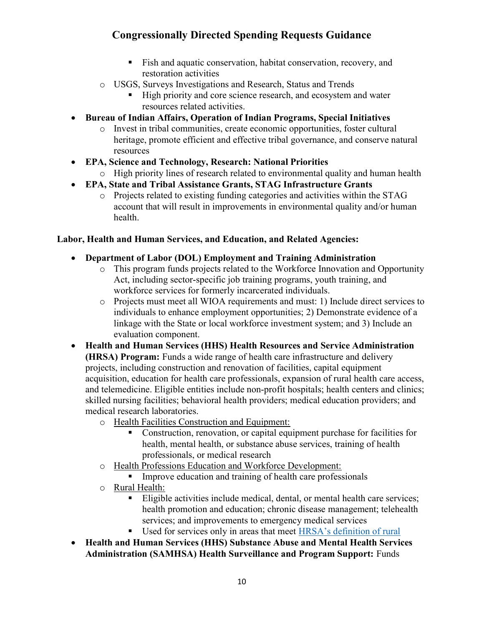- Fish and aquatic conservation, habitat conservation, recovery, and restoration activities
- o USGS, Surveys Investigations and Research, Status and Trends
	- High priority and core science research, and ecosystem and water resources related activities.
- Bureau of Indian Affairs, Operation of Indian Programs, Special Initiatives
	- o Invest in tribal communities, create economic opportunities, foster cultural heritage, promote efficient and effective tribal governance, and conserve natural resources
- EPA, Science and Technology, Research: National Priorities
	- o High priority lines of research related to environmental quality and human health
- EPA, State and Tribal Assistance Grants, STAG Infrastructure Grants
	- o Projects related to existing funding categories and activities within the STAG account that will result in improvements in environmental quality and/or human health.

#### Labor, Health and Human Services, and Education, and Related Agencies:

- Department of Labor (DOL) Employment and Training Administration
	- o This program funds projects related to the Workforce Innovation and Opportunity Act, including sector-specific job training programs, youth training, and workforce services for formerly incarcerated individuals.
	- o Projects must meet all WIOA requirements and must: 1) Include direct services to individuals to enhance employment opportunities; 2) Demonstrate evidence of a linkage with the State or local workforce investment system; and 3) Include an evaluation component.
- Health and Human Services (HHS) Health Resources and Service Administration (HRSA) Program: Funds a wide range of health care infrastructure and delivery projects, including construction and renovation of facilities, capital equipment acquisition, education for health care professionals, expansion of rural health care access, and telemedicine. Eligible entities include non-profit hospitals; health centers and clinics; skilled nursing facilities; behavioral health providers; medical education providers; and medical research laboratories.
	- o Health Facilities Construction and Equipment:
		- Construction, renovation, or capital equipment purchase for facilities for health, mental health, or substance abuse services, training of health professionals, or medical research
	- o Health Professions Education and Workforce Development:
		- **IMPROVE** Improve education and training of health care professionals
	- o Rural Health:
		- Eligible activities include medical, dental, or mental health care services; health promotion and education; chronic disease management; telehealth services; and improvements to emergency medical services
		- Used for services only in areas that meet HRSA's definition of rural
- Health and Human Services (HHS) Substance Abuse and Mental Health Services Administration (SAMHSA) Health Surveillance and Program Support: Funds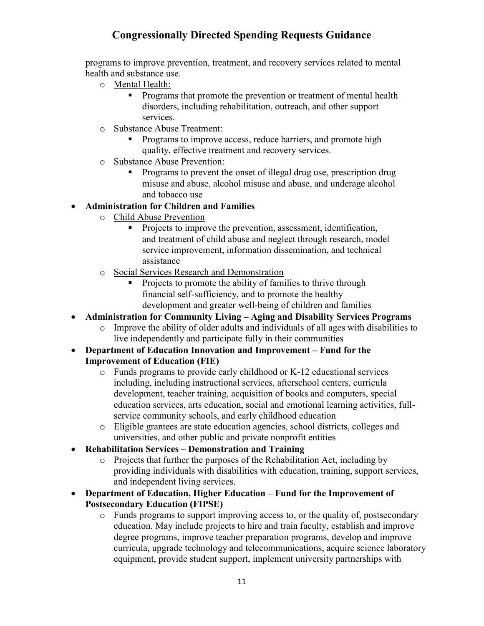programs to improve prevention, treatment, and recovery services related to mental health and substance use.

- o Mental Health:
	- **Programs that promote the prevention or treatment of mental health** disorders, including rehabilitation, outreach, and other support services.
- o Substance Abuse Treatment:
	- Programs to improve access, reduce barriers, and promote high quality, effective treatment and recovery services.
- o Substance Abuse Prevention:
	- Programs to prevent the onset of illegal drug use, prescription drug misuse and abuse, alcohol misuse and abuse, and underage alcohol and tobacco use

### Administration for Children and Families

- o Child Abuse Prevention
	- **Projects to improve the prevention, assessment, identification,** and treatment of child abuse and neglect through research, model service improvement, information dissemination, and technical assistance
- o Social Services Research and Demonstration
	- Projects to promote the ability of families to thrive through financial self-sufficiency, and to promote the healthy development and greater well-being of children and families
- Administration for Community Living Aging and Disability Services Programs
	- o Improve the ability of older adults and individuals of all ages with disabilities to live independently and participate fully in their communities
- Department of Education Innovation and Improvement Fund for the Improvement of Education (FIE)
	- o Funds programs to provide early childhood or K-12 educational services including, including instructional services, afterschool centers, curricula development, teacher training, acquisition of books and computers, special education services, arts education, social and emotional learning activities, fullservice community schools, and early childhood education
	- o Eligible grantees are state education agencies, school districts, colleges and universities, and other public and private nonprofit entities
- Rehabilitation Services Demonstration and Training
	- o Projects that further the purposes of the Rehabilitation Act, including by providing individuals with disabilities with education, training, support services, and independent living services.
- Department of Education, Higher Education Fund for the Improvement of Postsecondary Education (FIPSE)
	- o Funds programs to support improving access to, or the quality of, postsecondary education. May include projects to hire and train faculty, establish and improve degree programs, improve teacher preparation programs, develop and improve curricula, upgrade technology and telecommunications, acquire science laboratory equipment, provide student support, implement university partnerships with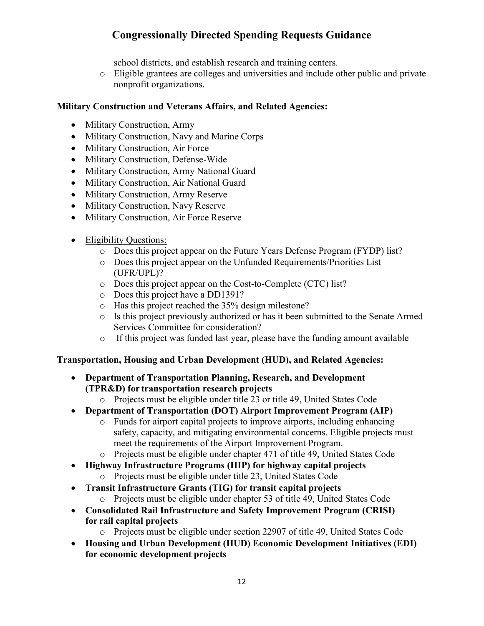school districts, and establish research and training centers.

o Eligible grantees are colleges and universities and include other public and private nonprofit organizations.

#### Military Construction and Veterans Affairs, and Related Agencies:

- Military Construction, Army
- Military Construction, Navy and Marine Corps
- Military Construction, Air Force
- Military Construction, Defense-Wide
- Military Construction, Army National Guard
- Military Construction, Air National Guard
- Military Construction, Army Reserve
- Military Construction, Navy Reserve
- Military Construction, Air Force Reserve
- Eligibility Questions:
	- o Does this project appear on the Future Years Defense Program (FYDP) list?
	- o Does this project appear on the Unfunded Requirements/Priorities List (UFR/UPL)?
	- o Does this project appear on the Cost-to-Complete (CTC) list?
	- o Does this project have a DD1391?
	- o Has this project reached the 35% design milestone?
	- o Is this project previously authorized or has it been submitted to the Senate Armed Services Committee for consideration?
	- o If this project was funded last year, please have the funding amount available

#### Transportation, Housing and Urban Development (HUD), and Related Agencies:

- Department of Transportation Planning, Research, and Development (TPR&D) for transportation research projects
	- o Projects must be eligible under title 23 or title 49, United States Code
- Department of Transportation (DOT) Airport Improvement Program (AIP)
	- o Funds for airport capital projects to improve airports, including enhancing safety, capacity, and mitigating environmental concerns. Eligible projects must meet the requirements of the Airport Improvement Program.
	- o Projects must be eligible under chapter 471 of title 49, United States Code
- Highway Infrastructure Programs (HIP) for highway capital projects
	- o Projects must be eligible under title 23, United States Code
- Transit Infrastructure Grants (TIG) for transit capital projects
	- o Projects must be eligible under chapter 53 of title 49, United States Code
- Consolidated Rail Infrastructure and Safety Improvement Program (CRISI) for rail capital projects
	- o Projects must be eligible under section 22907 of title 49, United States Code
- Housing and Urban Development (HUD) Economic Development Initiatives (EDI) for economic development projects